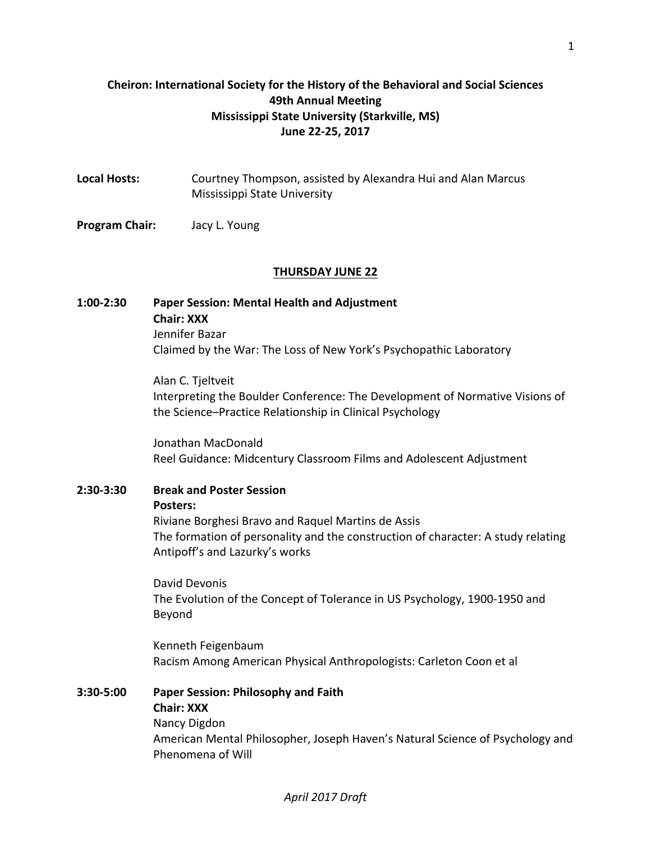## **Cheiron: International Society for the History of the Behavioral and Social Sciences 49th Annual Meeting Mississippi State University (Starkville, MS) June 22-25, 2017**

| <b>Local Hosts:</b>   | Courtney Thompson, assisted by Alexandra Hui and Alan Marcus<br>Mississippi State University |
|-----------------------|----------------------------------------------------------------------------------------------|
| <b>Program Chair:</b> | Jacy L. Young                                                                                |
|                       | <b>THURSDAY JUNE 22</b>                                                                      |

## **1:00-2:30 Paper Session: Mental Health and Adjustment Chair: XXX** Jennifer Bazar Claimed by the War: The Loss of New York's Psychopathic Laboratory

Alan C. Tjeltveit Interpreting the Boulder Conference: The Development of Normative Visions of the Science–Practice Relationship in Clinical Psychology

Jonathan MacDonald Reel Guidance: Midcentury Classroom Films and Adolescent Adjustment

## **2:30-3:30 Break and Poster Session Posters:** Riviane Borghesi Bravo and Raquel Martins de Assis The formation of personality and the construction of character: A study relating Antipoff's and Lazurky's works

David Devonis The Evolution of the Concept of Tolerance in US Psychology, 1900-1950 and Beyond

Kenneth Feigenbaum Racism Among American Physical Anthropologists: Carleton Coon et al

## **3:30-5:00 Paper Session: Philosophy and Faith Chair: XXX** Nancy Digdon American Mental Philosopher, Joseph Haven's Natural Science of Psychology and Phenomena of Will

## *April 2017 Draft*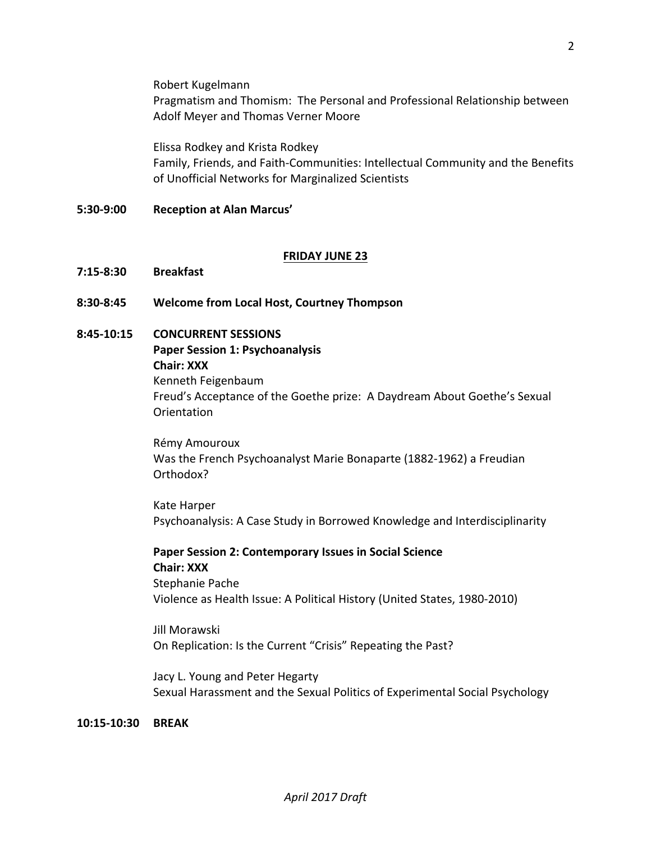Robert Kugelmann Pragmatism and Thomism: The Personal and Professional Relationship between Adolf Meyer and Thomas Verner Moore

Elissa Rodkey and Krista Rodkey Family, Friends, and Faith-Communities: Intellectual Community and the Benefits of Unofficial Networks for Marginalized Scientists

#### **5:30-9:00 Reception at Alan Marcus'**

#### **FRIDAY JUNE 23**

- **7:15-8:30 Breakfast**
- **8:30-8:45 Welcome from Local Host, Courtney Thompson**
- **8:45-10:15 CONCURRENT SESSIONS Paper Session 1: Psychoanalysis Chair: XXX**

Kenneth Feigenbaum Freud's Acceptance of the Goethe prize: A Daydream About Goethe's Sexual Orientation

Rémy Amouroux Was the French Psychoanalyst Marie Bonaparte (1882-1962) a Freudian Orthodox?

Kate Harper Psychoanalysis: A Case Study in Borrowed Knowledge and Interdisciplinarity

**Paper Session 2: Contemporary Issues in Social Science Chair: XXX** Stephanie Pache Violence as Health Issue: A Political History (United States, 1980-2010)

Jill Morawski On Replication: Is the Current "Crisis" Repeating the Past?

Jacy L. Young and Peter Hegarty Sexual Harassment and the Sexual Politics of Experimental Social Psychology

**10:15-10:30 BREAK**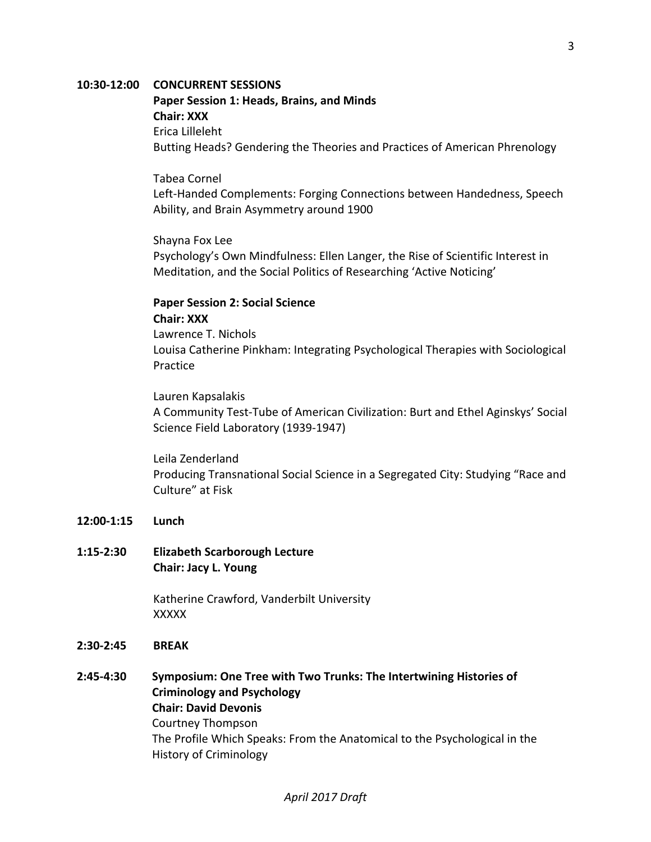#### **10:30-12:00 CONCURRENT SESSIONS**

Paper Session 1: Heads, Brains, and Minds **Chair: XXX** Erica Lilleleht Butting Heads? Gendering the Theories and Practices of American Phrenology

Tabea Cornel Left-Handed Complements: Forging Connections between Handedness, Speech Ability, and Brain Asymmetry around 1900

Shayna Fox Lee Psychology's Own Mindfulness: Ellen Langer, the Rise of Scientific Interest in Meditation, and the Social Politics of Researching 'Active Noticing'

# **Paper Session 2: Social Science Chair: XXX**

Lawrence T. Nichols Louisa Catherine Pinkham: Integrating Psychological Therapies with Sociological Practice

Lauren Kapsalakis A Community Test-Tube of American Civilization: Burt and Ethel Aginskys' Social Science Field Laboratory (1939-1947)

Leila Zenderland Producing Transnational Social Science in a Segregated City: Studying "Race and Culture" at Fisk

#### **12:00-1:15 Lunch**

### **1:15-2:30 Elizabeth Scarborough Lecture Chair: Jacy L. Young**

Katherine Crawford, Vanderbilt University XXXXX

#### **2:30-2:45 BREAK**

**2:45-4:30** Symposium: One Tree with Two Trunks: The Intertwining Histories of **Criminology and Psychology Chair: David Devonis** Courtney Thompson The Profile Which Speaks: From the Anatomical to the Psychological in the History of Criminology

#### *April 2017 Draft*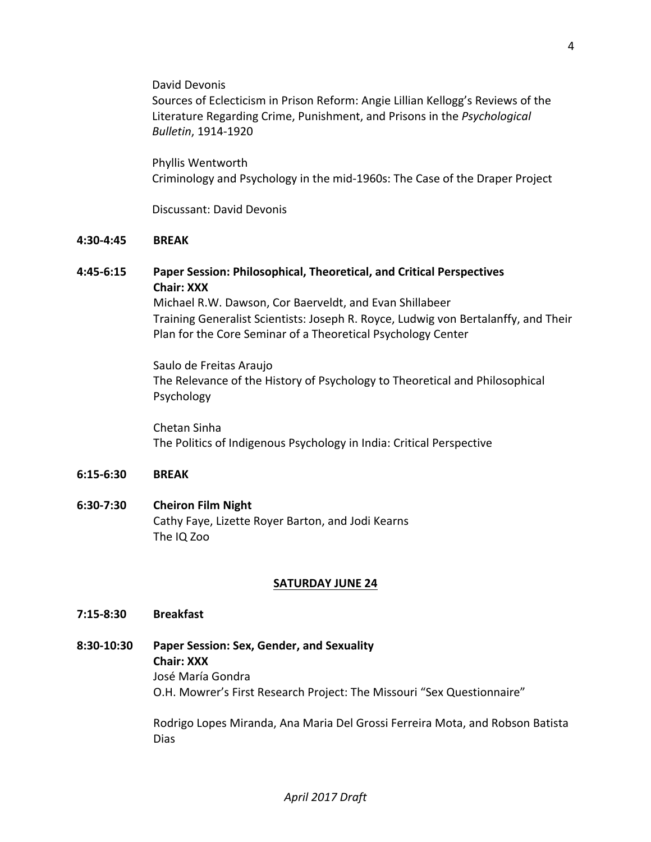David Devonis

Sources of Eclecticism in Prison Reform: Angie Lillian Kellogg's Reviews of the Literature Regarding Crime, Punishment, and Prisons in the *Psychological Bulletin*, 1914-1920

Phyllis Wentworth Criminology and Psychology in the mid-1960s: The Case of the Draper Project

Discussant: David Devonis

#### **4:30-4:45 BREAK**

## **4:45-6:15 Paper Session: Philosophical, Theoretical, and Critical Perspectives Chair: XXX**

Michael R.W. Dawson, Cor Baerveldt, and Evan Shillabeer Training Generalist Scientists: Joseph R. Royce, Ludwig von Bertalanffy, and Their Plan for the Core Seminar of a Theoretical Psychology Center

Saulo de Freitas Araujo The Relevance of the History of Psychology to Theoretical and Philosophical Psychology

Chetan Sinha The Politics of Indigenous Psychology in India: Critical Perspective

#### **6:15-6:30 BREAK**

## **6:30-7:30 Cheiron Film Night** Cathy Faye, Lizette Royer Barton, and Jodi Kearns The IQ Zoo

#### **SATURDAY JUNE 24**

#### **7:15-8:30 Breakfast**

**8:30-10:30 Paper Session: Sex, Gender, and Sexuality Chair: XXX** José María Gondra O.H. Mowrer's First Research Project: The Missouri "Sex Questionnaire"

> Rodrigo Lopes Miranda, Ana Maria Del Grossi Ferreira Mota, and Robson Batista Dias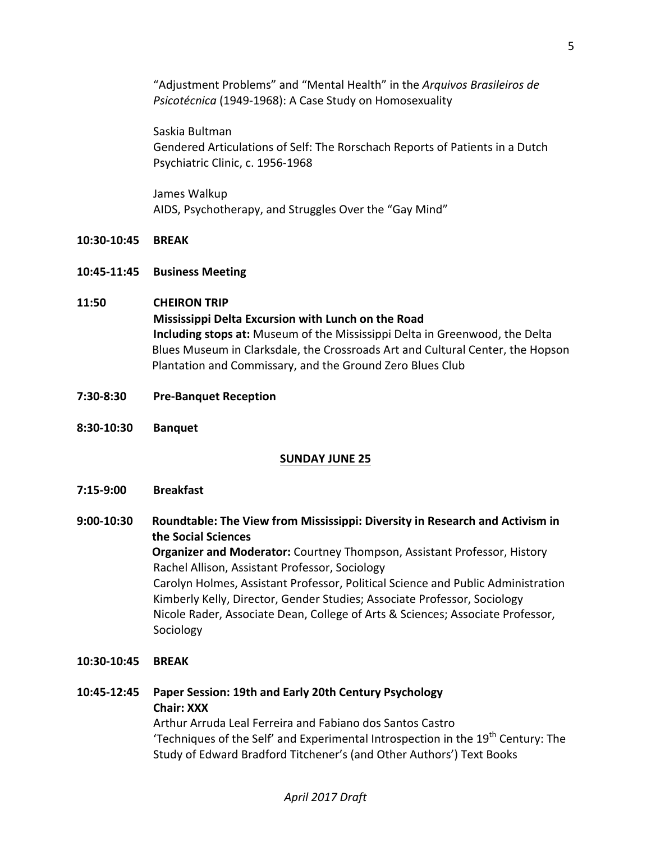"Adjustment Problems" and "Mental Health" in the Arquivos Brasileiros de Psicotécnica (1949-1968): A Case Study on Homosexuality

Saskia Bultman Gendered Articulations of Self: The Rorschach Reports of Patients in a Dutch Psychiatric Clinic, c. 1956-1968

James Walkup AIDS, Psychotherapy, and Struggles Over the "Gay Mind"

### **10:30-10:45 BREAK**

**10:45-11:45 Business Meeting**

### **11:50 CHEIRON TRIP**

**Mississippi Delta Excursion with Lunch on the Road Including stops at:** Museum of the Mississippi Delta in Greenwood, the Delta Blues Museum in Clarksdale, the Crossroads Art and Cultural Center, the Hopson Plantation and Commissary, and the Ground Zero Blues Club

- **7:30-8:30 Pre-Banquet Reception**
- **8:30-10:30 Banquet**

## **SUNDAY JUNE 25**

- **7:15-9:00 Breakfast**
- 9:00-10:30 Roundtable: The View from Mississippi: Diversity in Research and Activism in **the Social Sciences Organizer and Moderator:** Courtney Thompson, Assistant Professor, History Rachel Allison, Assistant Professor, Sociology Carolyn Holmes, Assistant Professor, Political Science and Public Administration Kimberly Kelly, Director, Gender Studies; Associate Professor, Sociology Nicole Rader, Associate Dean, College of Arts & Sciences; Associate Professor, Sociology

#### **10:30-10:45 BREAK**

**10:45-12:45 Paper Session: 19th and Early 20th Century Psychology Chair: XXX** Arthur Arruda Leal Ferreira and Fabiano dos Santos Castro 'Techniques of the Self' and Experimental Introspection in the  $19<sup>th</sup>$  Century: The Study of Edward Bradford Titchener's (and Other Authors') Text Books